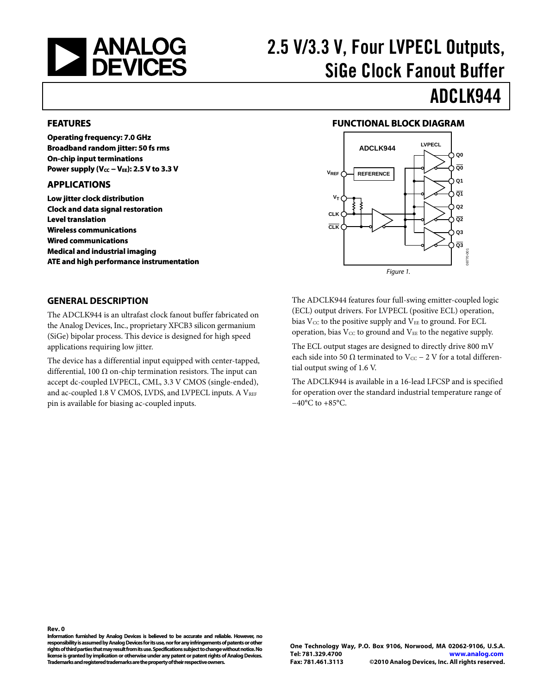<span id="page-0-0"></span>

# 2.5 V/3.3 V, Four LVPECL Outputs, SiGe Clock Fanout Buffer

# ADCLK944

#### **FEATURES**

**Operating frequency: 7.0 GHz Broadband random jitter: 50 fs rms On-chip input terminations**  Power supply (V<sub>CC</sub> − V<sub>EE</sub>): 2.5 V to 3.3 V

#### **APPLICATIONS**

**Low jitter clock distribution Clock and data signal restoration Level translation Wireless communications Wired communications Medical and industrial imaging ATE and high performance instrumentation** 

#### **FUNCTIONAL BLOCK DIAGRAM**



#### **GENERAL DESCRIPTION**

The ADCLK944 is an ultrafast clock fanout buffer fabricated on the Analog Devices, Inc., proprietary XFCB3 silicon germanium (SiGe) bipolar process. This device is designed for high speed applications requiring low jitter.

The device has a differential input equipped with center-tapped, differential, 100  $\Omega$  on-chip termination resistors. The input can accept dc-coupled LVPECL, CML, 3.3 V CMOS (single-ended), and ac-coupled 1.8 V CMOS, LVDS, and LVPECL inputs. A VREF pin is available for biasing ac-coupled inputs.

The ADCLK944 features four full-swing emitter-coupled logic (ECL) output drivers. For LVPECL (positive ECL) operation, bias  $V_{\text{CC}}$  to the positive supply and  $V_{\text{EE}}$  to ground. For ECL operation, bias  $V_{CC}$  to ground and  $V_{EE}$  to the negative supply.

The ECL output stages are designed to directly drive 800 mV each side into 50  $\Omega$  terminated to Vcc – 2 V for a total differential output swing of 1.6 V.

The ADCLK944 is available in a 16-lead LFCSP and is specified for operation over the standard industrial temperature range of −40°C to +85°C.

**Rev. 0**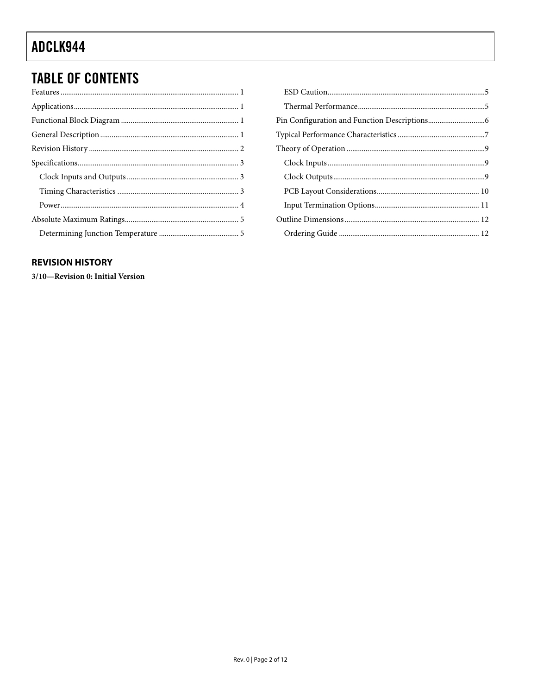# <span id="page-1-0"></span>**TABLE OF CONTENTS**

### **REVISION HISTORY**

3/10-Revision 0: Initial Version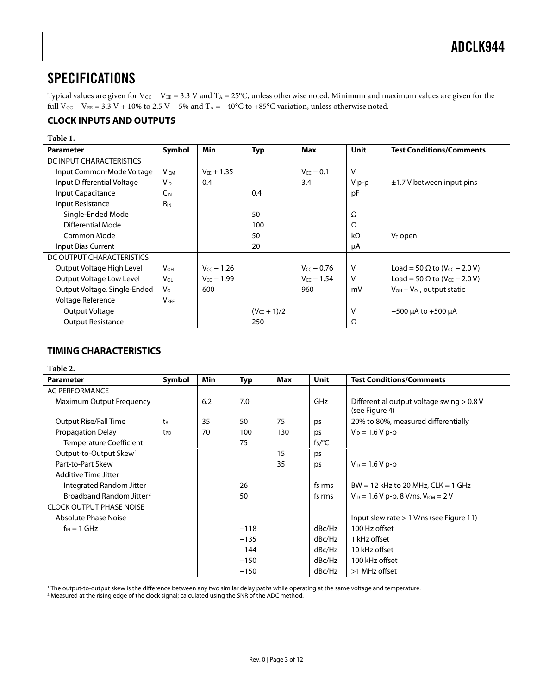### <span id="page-2-0"></span>SPECIFICATIONS

Typical values are given for  $V_{CC} - V_{EE} = 3.3$  V and  $T_A = 25$ °C, unless otherwise noted. Minimum and maximum values are given for the full V<sub>CC</sub> – V<sub>EE</sub> = 3.3 V + 10% to 2.5 V – 5% and T<sub>A</sub> = –40°C to +85°C variation, unless otherwise noted.

### **CLOCK INPUTS AND OUTPUTS**

#### **Table 1.**

| <b>Parameter</b>             | Symbol                | Min             | Typ              | Max              | <b>Unit</b> | <b>Test Conditions/Comments</b>                 |
|------------------------------|-----------------------|-----------------|------------------|------------------|-------------|-------------------------------------------------|
| DC INPUT CHARACTERISTICS     |                       |                 |                  |                  |             |                                                 |
| Input Common-Mode Voltage    | <b>VICM</b>           | $V_{FF} + 1.35$ |                  | $V_{CC}$ $-$ 0.1 | v           |                                                 |
| Input Differential Voltage   | $V_{ID}$              | 0.4             |                  | 3.4              | V p-p       | $\pm$ 1.7 V between input pins                  |
| Input Capacitance            | $C_{IN}$              |                 | 0.4              |                  | pF          |                                                 |
| Input Resistance             | <b>R<sub>IN</sub></b> |                 |                  |                  |             |                                                 |
| Single-Ended Mode            |                       |                 | 50               |                  | Ω           |                                                 |
| Differential Mode            |                       |                 | 100              |                  | Ω           |                                                 |
| Common Mode                  |                       |                 | 50               |                  | $k\Omega$   | $V_T$ open                                      |
| Input Bias Current           |                       |                 | 20               |                  | μA          |                                                 |
| DC OUTPUT CHARACTERISTICS    |                       |                 |                  |                  |             |                                                 |
| Output Voltage High Level    | <b>V<sub>OH</sub></b> | $V_{CC}$ - 1.26 |                  | $V_{cc}$ – 0.76  | v           | Load = 50 $\Omega$ to (V <sub>CC</sub> – 2.0 V) |
| Output Voltage Low Level     | V <sub>OL</sub>       | $V_{cc}$ – 1.99 |                  | $V_{cc}$ – 1.54  | v           | Load = 50 $\Omega$ to (V <sub>CC</sub> – 2.0 V) |
| Output Voltage, Single-Ended | $V_{\Omega}$          | 600             |                  | 960              | mV          | $V_{OH} - V_{OL}$ , output static               |
| Voltage Reference            | <b>VREF</b>           |                 |                  |                  |             |                                                 |
| Output Voltage               |                       |                 | $(V_{cc} + 1)/2$ |                  | v           | $-500$ µA to $+500$ µA                          |
| <b>Output Resistance</b>     |                       |                 | 250              |                  | Ω           |                                                 |

### **TIMING CHARACTERISTICS**

| Table 2.                             |                 |            |        |     |             |                                                             |  |  |
|--------------------------------------|-----------------|------------|--------|-----|-------------|-------------------------------------------------------------|--|--|
| <b>Parameter</b>                     | Symbol          | <b>Min</b> | Typ    | Max | <b>Unit</b> | <b>Test Conditions/Comments</b>                             |  |  |
| <b>AC PERFORMANCE</b>                |                 |            |        |     |             |                                                             |  |  |
| Maximum Output Frequency             |                 | 6.2        | 7.0    |     | GHz         | Differential output voltage swing > 0.8 V<br>(see Figure 4) |  |  |
| Output Rise/Fall Time                | t <sub>R</sub>  | 35         | 50     | 75  | ps          | 20% to 80%, measured differentially                         |  |  |
| Propagation Delay                    | t <sub>PD</sub> | 70         | 100    | 130 | ps          | $V_{ID} = 1.6 V p-p$                                        |  |  |
| <b>Temperature Coefficient</b>       |                 |            | 75     |     | $fs$ /°C    |                                                             |  |  |
| Output-to-Output Skew <sup>1</sup>   |                 |            |        | 15  | ps          |                                                             |  |  |
| Part-to-Part Skew                    |                 |            |        | 35  | ps          | $V_{ID} = 1.6 V p-p$                                        |  |  |
| Additive Time Jitter                 |                 |            |        |     |             |                                                             |  |  |
| Integrated Random Jitter             |                 |            | 26     |     | fs rms      | $BW = 12$ kHz to 20 MHz, $CLK = 1$ GHz                      |  |  |
| Broadband Random Jitter <sup>2</sup> |                 |            | 50     |     | fs rms      | $V_{1D} = 1.6 V p-p$ , 8 V/ns, $V_{1CM} = 2 V$              |  |  |
| <b>CLOCK OUTPUT PHASE NOISE</b>      |                 |            |        |     |             |                                                             |  |  |
| <b>Absolute Phase Noise</b>          |                 |            |        |     |             | Input slew rate $> 1$ V/ns (see Figure 11)                  |  |  |
| $f_{IN} = 1$ GHz                     |                 |            | $-118$ |     | dBc/Hz      | 100 Hz offset                                               |  |  |
|                                      |                 |            | $-135$ |     | dBc/Hz      | 1 kHz offset                                                |  |  |
|                                      |                 |            | $-144$ |     | dBc/Hz      | 10 kHz offset                                               |  |  |
|                                      |                 |            | $-150$ |     | dBc/Hz      | 100 kHz offset                                              |  |  |
|                                      |                 |            | $-150$ |     | dBc/Hz      | >1 MHz offset                                               |  |  |

<sup>1</sup> The output-to-output skew is the difference between any two similar delay paths while operating at the same voltage and temperature.<br><sup>2</sup> Measured at the rising edge of the clock signal: calculated using the SNR of the

<sup>2</sup> Measured at the rising edge of the clock signal; calculated using the SNR of the ADC method.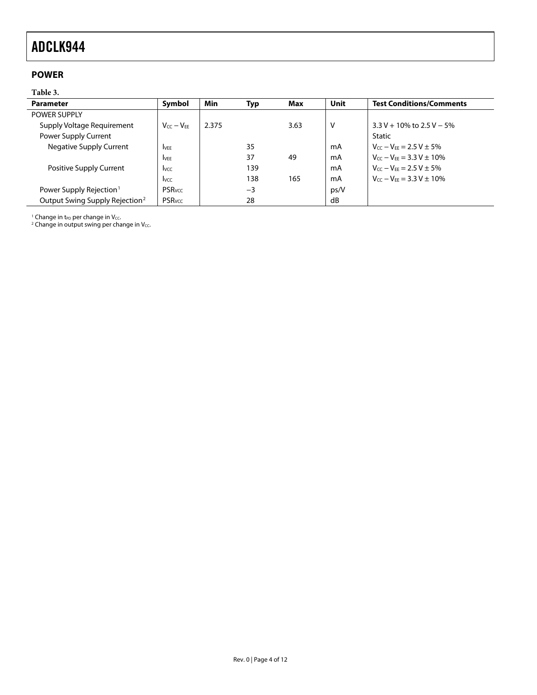### <span id="page-3-0"></span>**POWER**

#### **Table 3.**

| <b>Parameter</b>                           | Symbol                  | Min   | Typ  | Max  | Unit | <b>Test Conditions/Comments</b>                          |
|--------------------------------------------|-------------------------|-------|------|------|------|----------------------------------------------------------|
| <b>POWER SUPPLY</b>                        |                         |       |      |      |      |                                                          |
| Supply Voltage Requirement                 | $V_{CC} - V_{FF}$       | 2.375 |      | 3.63 | v    | $3.3 V + 10\%$ to $2.5 V - 5\%$                          |
| Power Supply Current                       |                         |       |      |      |      | Static                                                   |
| Negative Supply Current                    | <b>I</b> VEE            |       | 35   |      | mA   | $V_{cc} - V_{FF} = 2.5 V \pm 5\%$                        |
|                                            | <b>IVEE</b>             |       | 37   | 49   | mA   | $V_{CC} - V_{FE} = 3.3 V \pm 10\%$                       |
| Positive Supply Current                    | <b>I</b> <sub>VCC</sub> |       | 139  |      | mA   | $V_{CC} - V_{FE} = 2.5 V \pm 5\%$                        |
|                                            | <b>I</b> vcc            |       | 138  | 165  | mA   | $V_{\text{CC}} - V_{\text{FF}} = 3.3 \text{ V} \pm 10\%$ |
| Power Supply Rejection <sup>1</sup>        | <b>PSR</b> vcc          |       | $-3$ |      | ps/V |                                                          |
| Output Swing Supply Rejection <sup>2</sup> | <b>PSR</b> vcc          |       | 28   |      | dB   |                                                          |

<sup>1</sup> Change in t<sub>PD</sub> per change in V<sub>CC</sub>.<br><sup>2</sup> Change in output swing per change in V<sub>CC</sub>.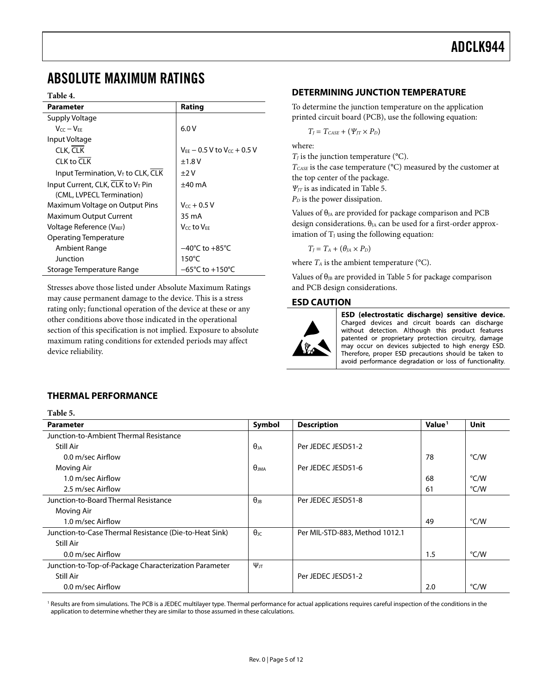### <span id="page-4-0"></span>ABSOLUTE MAXIMUM RATINGS

#### **Table 4.**

| Parameter                                     | Rating                               |
|-----------------------------------------------|--------------------------------------|
| Supply Voltage                                |                                      |
| $V_{CC} - V_{FF}$                             | 6.0V                                 |
| Input Voltage                                 |                                      |
| CLK, CLK                                      | $V_{FF}$ – 0.5 V to $V_{CC}$ + 0.5 V |
| CLK to CLK                                    | ±1.8V                                |
| Input Termination, V <sub>T</sub> to CLK, CLK | $\pm 2V$                             |
| Input Current, CLK, CLK to V <sub>T</sub> Pin | $±40$ mA                             |
| (CML, LVPECL Termination)                     |                                      |
| Maximum Voltage on Output Pins                | $V_{CC}$ + 0.5 V                     |
| <b>Maximum Output Current</b>                 | 35 mA                                |
| Voltage Reference (V <sub>REF</sub> )         | V <sub>CC</sub> to V <sub>FF</sub>   |
| Operating Temperature                         |                                      |
| Ambient Range                                 | $-40^{\circ}$ C to $+85^{\circ}$ C   |
| Junction                                      | $150^{\circ}$ C                      |
| Storage Temperature Range                     | $-65^{\circ}$ C to $+150^{\circ}$ C  |

Stresses above those listed under Absolute Maximum Ratings may cause permanent damage to the device. This is a stress rating only; functional operation of the device at these or any other conditions above those indicated in the operational section of this specification is not implied. Exposure to absolute maximum rating conditions for extended periods may affect device reliability.

### **DETERMINING JUNCTION TEMPERATURE**

To determine the junction temperature on the application printed circuit board (PCB), use the following equation:

 $T_I = T_{CASE} + (\Psi_{IT} \times P_D)$ 

where:

 $T_J$  is the junction temperature ( $\rm ^{o}C$ ). *TCASE* is the case temperature (°C) measured by the customer at the top center of the package. *Ψ<sub>JT</sub>* is as indicated in [Table 5](#page-4-1). *P<sub>D</sub>* is the power dissipation.

Values of  $\theta_{JA}$  are provided for package comparison and PCB design considerations.  $\theta_{JA}$  can be used for a first-order approximation of  $T_J$  using the following equation:

 $T_I = T_A + (\theta_I A \times P_D)$ 

where  $T_A$  is the ambient temperature ( $\rm ^{o}C$ ).

Values of  $\theta_{JB}$  are provided in [Table 5](#page-4-1) for package comparison and PCB design considerations.

#### **ESD CAUTION**



ESD (electrostatic discharge) sensitive device. Charged devices and circuit boards can discharge without detection. Although this product features patented or proprietary protection circuitry, damage may occur on devices subjected to high energy ESD. Therefore, proper ESD precautions should be taken to avoid performance degradation or loss of functionality.

#### **THERMAL PERFORMANCE**

**Table 5.** 

<span id="page-4-1"></span>

| таріе э.<br><b>Parameter</b>                           | Symbol                      | <b>Description</b>             | Value <sup>1</sup> | Unit |
|--------------------------------------------------------|-----------------------------|--------------------------------|--------------------|------|
| Junction-to-Ambient Thermal Resistance                 |                             |                                |                    |      |
| Still Air                                              | $\theta$ ia                 | Per JEDEC JESD51-2             |                    |      |
| 0.0 m/sec Airflow                                      |                             |                                | 78                 | °C/W |
| Moving Air                                             | $\theta$ ima                | Per JEDEC JESD51-6             |                    |      |
| 1.0 m/sec Airflow                                      |                             |                                | 68                 | °C/W |
| 2.5 m/sec Airflow                                      |                             |                                | 61                 | °C/W |
| Junction-to-Board Thermal Resistance                   | $\theta_{\text{\tiny{JB}}}$ | Per JEDEC JESD51-8             |                    |      |
| Moving Air                                             |                             |                                |                    |      |
| 1.0 m/sec Airflow                                      |                             |                                | 49                 | °C/W |
| Junction-to-Case Thermal Resistance (Die-to-Heat Sink) | $\theta$ JC                 | Per MIL-STD-883, Method 1012.1 |                    |      |
| Still Air                                              |                             |                                |                    |      |
| 0.0 m/sec Airflow                                      |                             |                                | 1.5                | °C/W |
| Junction-to-Top-of-Package Characterization Parameter  | $\Psi_{\text{JT}}$          |                                |                    |      |
| Still Air                                              |                             | Per JEDEC JESD51-2             |                    |      |
| 0.0 m/sec Airflow                                      |                             |                                | 2.0                | °C/W |

<sup>1</sup> Results are from simulations. The PCB is a JEDEC multilayer type. Thermal performance for actual applications requires careful inspection of the conditions in the application to determine whether they are similar to those assumed in these calculations.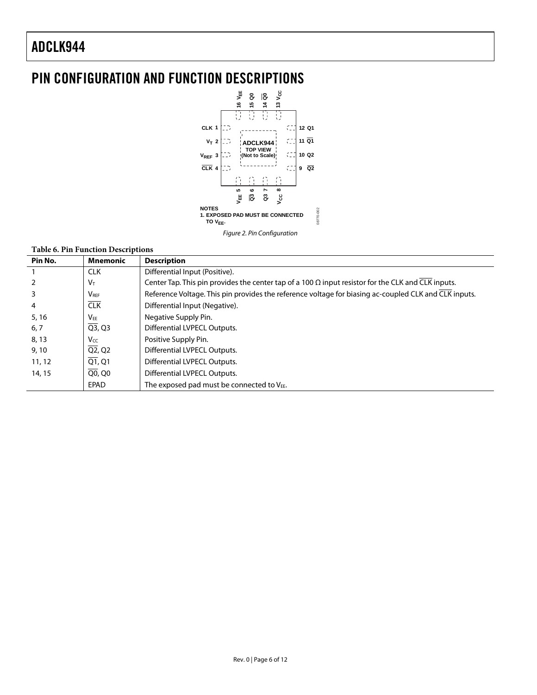# <span id="page-5-0"></span>PIN CONFIGURATION AND FUNCTION DESCRIPTIONS



#### **Table 6. Pin Function Descriptions**

| Pin No. | <b>Mnemonic</b>                  | <b>Description</b>                                                                                        |
|---------|----------------------------------|-----------------------------------------------------------------------------------------------------------|
|         | <b>CLK</b>                       | Differential Input (Positive).                                                                            |
|         | V <sub>T</sub>                   | Center Tap. This pin provides the center tap of a 100 $\Omega$ input resistor for the CLK and CLK inputs. |
|         | <b>VRFF</b>                      | Reference Voltage. This pin provides the reference voltage for biasing ac-coupled CLK and CLK inputs.     |
| 4       | CLK                              | Differential Input (Negative).                                                                            |
| 5, 16   | $V_{EE}$                         | Negative Supply Pin.                                                                                      |
| 6, 7    | $\overline{Q3}$ , $Q3$           | Differential LVPECL Outputs.                                                                              |
| 8, 13   | <b>Vcc</b>                       | Positive Supply Pin.                                                                                      |
| 9,10    | $\overline{Q2}$ , Q <sub>2</sub> | Differential LVPECL Outputs.                                                                              |
| 11, 12  | $\overline{Q1}$ , $Q1$           | Differential LVPECL Outputs.                                                                              |
| 14, 15  | Q0, Q0                           | Differential LVPECL Outputs.                                                                              |
|         | EPAD                             | The exposed pad must be connected to $V_{EE}$ .                                                           |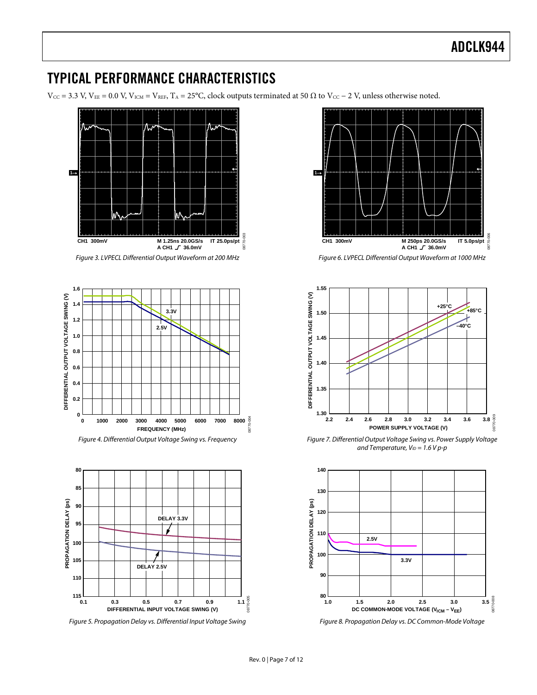## <span id="page-6-0"></span>TYPICAL PERFORMANCE CHARACTERISTICS

 $V_{\text{CC}} = 3.3 \text{ V}, V_{\text{EE}} = 0.0 \text{ V}, V_{\text{ICM}} = V_{\text{REF}}, T_A = 25^{\circ}\text{C}, \text{clock outputs terminated at } 50 \Omega \text{ to } V_{\text{CC}} - 2 \text{ V}, \text{unless otherwise noted.}$ 



<span id="page-6-1"></span>Figure 5. Propagation Delay vs. Differential Input Voltage Swing



Figure 6. LVPECL Differential Output Waveform at 1000 MHz



Figure 7. Differential Output Voltage Swing vs. Power Supply Voltage and Temperature,  $V_{ID} = 1.6 V p-p$ 



Figure 8. Propagation Delay vs. DC Common-Mode Voltage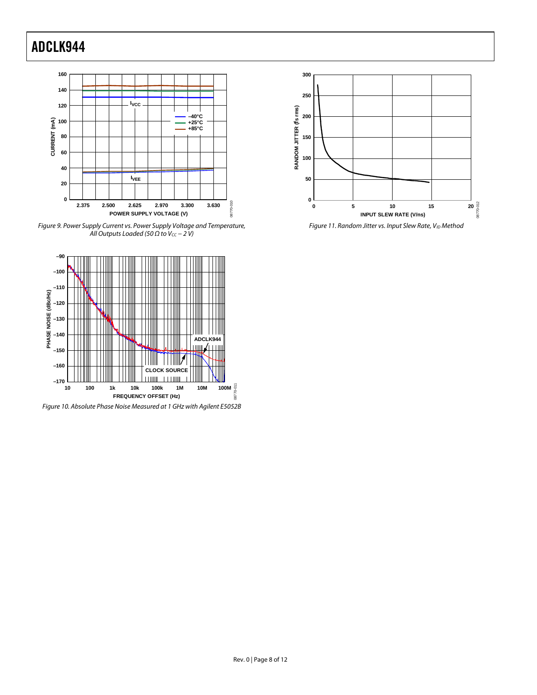

<span id="page-7-0"></span>Figure 9. Power Supply Current vs. Power Supply Voltage and Temperature, All Outputs Loaded (50  $\Omega$  to V $cc - 2$  V)



Figure 10. Absolute Phase Noise Measured at 1 GHz with Agilent E5052B



Figure 11. Random Jitter vs. Input Slew Rate, VID Method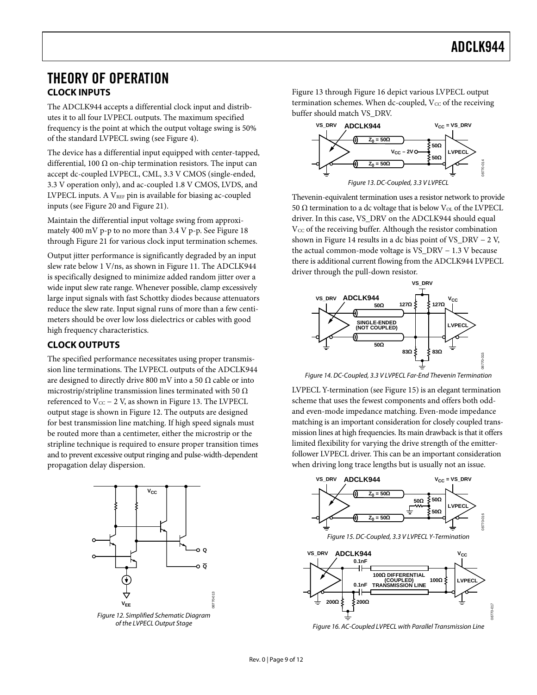### <span id="page-8-0"></span>THEORY OF OPERATION **CLOCK INPUTS**

The ADCLK944 accepts a differential clock input and distributes it to all four LVPECL outputs. The maximum specified frequency is the point at which the output voltage swing is 50% of the standard LVPECL swing (see [Figure 4\)](#page-6-1).

<span id="page-8-1"></span>The device has a differential input equipped with center-tapped, differential, 100  $\Omega$  on-chip termination resistors. The input can accept dc-coupled LVPECL, CML, 3.3 V CMOS (single-ended, 3.3 V operation only), and ac-coupled 1.8 V CMOS, LVDS, and LVPECL inputs. A  $V_{REF}$  pin is available for biasing ac-coupled inputs (see [Figure 20](#page-10-1) and [Figure 21\)](#page-10-2).

Maintain the differential input voltage swing from approximately 400 mV p-p to no more than 3.4 V p-p. See [Figure 18](#page-10-1) through [Figure 21](#page-10-2) for various clock input termination schemes.

Output jitter performance is significantly degraded by an input slew rate below 1 V/ns, as shown in [Figure 11](#page-7-0). The ADCLK944 is specifically designed to minimize added random jitter over a wide input slew rate range. Whenever possible, clamp excessively large input signals with fast Schottky diodes because attenuators reduce the slew rate. Input signal runs of more than a few centimeters should be over low loss dielectrics or cables with good high frequency characteristics.

### **CLOCK OUTPUTS**

<span id="page-8-4"></span>The specified performance necessitates using proper transmission line terminations. The LVPECL outputs of the ADCLK944 are designed to directly drive 800 mV into a 50  $\Omega$  cable or into microstrip/stripline transmission lines terminated with 50  $\Omega$ referenced to  $V_{CC}$  – 2 V, as shown in [Figure 13](#page-8-1). The LVPECL output stage is shown in [Figure 12](#page-8-2). The outputs are designed for best transmission line matching. If high speed signals must be routed more than a centimeter, either the microstrip or the stripline technique is required to ensure proper transition times and to prevent excessive output ringing and pulse-width-dependent propagation delay dispersion.

<span id="page-8-5"></span>

<span id="page-8-3"></span><span id="page-8-2"></span>of the LVPECL Output Stage

[Figure 13](#page-8-1) through [Figure 16](#page-8-3) depict various LVPECL output termination schemes. When dc-coupled,  $V_{CC}$  of the receiving buffer should match VS\_DRV.



Thevenin-equivalent termination uses a resistor network to provide 50 Ω termination to a dc voltage that is below  $V_{OL}$  of the LVPECL driver. In this case, VS\_DRV on the ADCLK944 should equal  $V_{CC}$  of the receiving buffer. Although the resistor combination shown in [Figure 14](#page-8-4) results in a dc bias point of VS\_DRV − 2 V, the actual common-mode voltage is VS\_DRV − 1.3 V because there is additional current flowing from the ADCLK944 LVPECL driver through the pull-down resistor.



Figure 14. DC-Coupled, 3.3 V LVPECL Far-End Thevenin Termination

LVPECL Y-termination (see [Figure 15](#page-8-5)) is an elegant termination scheme that uses the fewest components and offers both oddand even-mode impedance matching. Even-mode impedance matching is an important consideration for closely coupled transmission lines at high frequencies. Its main drawback is that it offers limited flexibility for varying the drive strength of the emitterfollower LVPECL driver. This can be an important consideration when driving long trace lengths but is usually not an issue.



Figure 16. AC-Coupled LVPECL with Parallel Transmission Line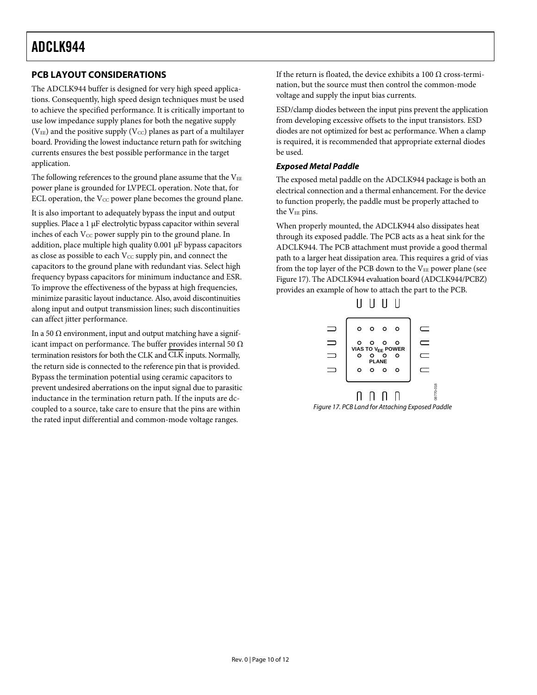### <span id="page-9-0"></span>**PCB LAYOUT CONSIDERATIONS**

The ADCLK944 buffer is designed for very high speed applications. Consequently, high speed design techniques must be used to achieve the specified performance. It is critically important to use low impedance supply planes for both the negative supply ( $V_{EE}$ ) and the positive supply ( $V_{CC}$ ) planes as part of a multilayer board. Providing the lowest inductance return path for switching currents ensures the best possible performance in the target application.

The following references to the ground plane assume that the  $V_{EE}$ power plane is grounded for LVPECL operation. Note that, for ECL operation, the  $V_{CC}$  power plane becomes the ground plane.

It is also important to adequately bypass the input and output supplies. Place a 1 μF electrolytic bypass capacitor within several inches of each Vcc power supply pin to the ground plane. In addition, place multiple high quality 0.001 μF bypass capacitors as close as possible to each V<sub>CC</sub> supply pin, and connect the capacitors to the ground plane with redundant vias. Select high frequency bypass capacitors for minimum inductance and ESR. To improve the effectiveness of the bypass at high frequencies, minimize parasitic layout inductance. Also, avoid discontinuities along input and output transmission lines; such discontinuities can affect jitter performance.

<span id="page-9-1"></span>In a 50  $Ω$  environment, input and output matching have a significant impact on performance. The buffer provides internal 50  $\Omega$ termination resistors for both the CLK and CLK inputs. Normally, the return side is connected to the reference pin that is provided. Bypass the termination potential using ceramic capacitors to prevent undesired aberrations on the input signal due to parasitic inductance in the termination return path. If the inputs are dccoupled to a source, take care to ensure that the pins are within the rated input differential and common-mode voltage ranges.

If the return is floated, the device exhibits a 100  $\Omega$  cross-termination, but the source must then control the common-mode voltage and supply the input bias currents.

ESD/clamp diodes between the input pins prevent the application from developing excessive offsets to the input transistors. ESD diodes are not optimized for best ac performance. When a clamp is required, it is recommended that appropriate external diodes be used.

#### **Exposed Metal Paddle**

The exposed metal paddle on the ADCLK944 package is both an electrical connection and a thermal enhancement. For the device to function properly, the paddle must be properly attached to the V<sub>EE</sub> pins.

When properly mounted, the ADCLK944 also dissipates heat through its exposed paddle. The PCB acts as a heat sink for the ADCLK944. The PCB attachment must provide a good thermal path to a larger heat dissipation area. This requires a grid of vias from the top layer of the PCB down to the  $V_{EE}$  power plane (see [Figure 17\)](#page-9-1). The ADCLK944 evaluation board (ADCLK944/PCBZ) provides an example of how to attach the part to the PCB.



Figure 17. PCB Land for Attaching Exposed Paddle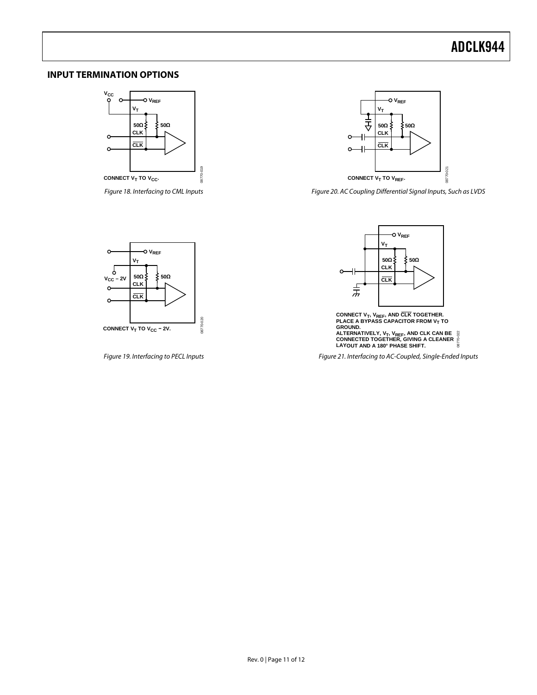#### <span id="page-10-0"></span>**INPUT TERMINATION OPTIONS**



<span id="page-10-1"></span>Figure 18. Interfacing to CML Inputs



Figure 20. AC Coupling Differential Signal Inputs, Such as LVDS



<span id="page-10-2"></span>Figure 19. Interfacing to PECL Inputs



CONNECT V<sub>T</sub>, V<sub>REF</sub>, AND CLK TOGETHER.<br>PLACE A BYPASS CAPACITOR FROM V<sub>T</sub> TO<br>GROUND.<br>ALTERNATIVELY, V<sub>T</sub>, V<sub>REF</sub>, AND CLK CAN BE<br>CONNECTED TOGETHER, GIVING A CLEANER<br>LAYOUT AND A 180° PHASE SHIFT. 022 08770-022

Figure 21. Interfacing to AC-Coupled, Single-Ended Inputs